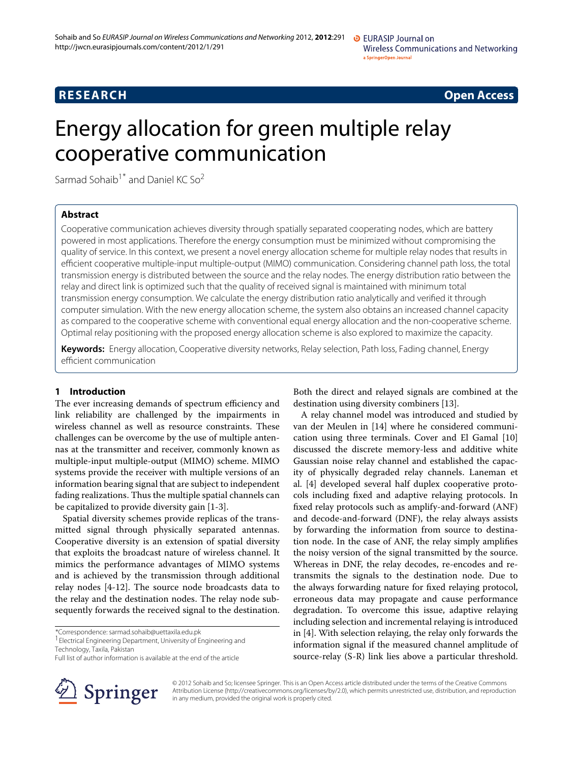# **RESEARCH Open Access**

# Energy allocation for green multiple relay cooperative communication

Sarmad Sohaib<sup>1\*</sup> and Daniel KC So<sup>2</sup>

# **Abstract**

Cooperative communication achieves diversity through spatially separated cooperating nodes, which are battery powered in most applications. Therefore the energy consumption must be minimized without compromising the quality of service. In this context, we present a novel energy allocation scheme for multiple relay nodes that results in efficient cooperative multiple-input multiple-output (MIMO) communication. Considering channel path loss, the total transmission energy is distributed between the source and the relay nodes. The energy distribution ratio between the relay and direct link is optimized such that the quality of received signal is maintained with minimum total transmission energy consumption. We calculate the energy distribution ratio analytically and verified it through computer simulation. With the new energy allocation scheme, the system also obtains an increased channel capacity as compared to the cooperative scheme with conventional equal energy allocation and the non-cooperative scheme. Optimal relay positioning with the proposed energy allocation scheme is also explored to maximize the capacity.

**Keywords:** Energy allocation, Cooperative diversity networks, Relay selection, Path loss, Fading channel, Energy efficient communication

### **1 Introduction**

The ever increasing demands of spectrum efficiency and link reliability are challenged by the impairments in wireless channel as well as resource constraints. These challenges can be overcome by the use of multiple antennas at the transmitter and receiver, commonly known as multiple-input multiple-output (MIMO) scheme. MIMO systems provide the receiver with multiple versions of an information bearing signal that are subject to independent fading realizations. Thus the multiple spatial channels can be capitalized to provide diversity gain [\[1-](#page-9-0)[3\]](#page-9-1).

Spatial diversity schemes provide replicas of the transmitted signal through physically separated antennas. Cooperative diversity is an extension of spatial diversity that exploits the broadcast nature of wireless channel. It mimics the performance advantages of MIMO systems and is achieved by the transmission through additional relay nodes [\[4-](#page-9-2)[12\]](#page-10-0). The source node broadcasts data to the relay and the destination nodes. The relay node subsequently forwards the received signal to the destination.

\*Correspondence: sarmad.sohaib@uettaxila.edu.pk

<sup>1</sup> Electrical Engineering Department, University of Engineering and

Both the direct and relayed signals are combined at the destination using diversity combiners [\[13\]](#page-10-1).

A relay channel model was introduced and studied by van der Meulen in [\[14\]](#page-10-2) where he considered communication using three terminals. Cover and El Gamal [\[10\]](#page-10-3) discussed the discrete memory-less and additive white Gaussian noise relay channel and established the capacity of physically degraded relay channels. Laneman et al. [\[4\]](#page-9-2) developed several half duplex cooperative protocols including fixed and adaptive relaying protocols. In fixed relay protocols such as amplify-and-forward (ANF) and decode-and-forward (DNF), the relay always assists by forwarding the information from source to destination node. In the case of ANF, the relay simply amplifies the noisy version of the signal transmitted by the source. Whereas in DNF, the relay decodes, re-encodes and retransmits the signals to the destination node. Due to the always forwarding nature for fixed relaying protocol, erroneous data may propagate and cause performance degradation. To overcome this issue, adaptive relaying including selection and incremental relaying is introduced in [\[4\]](#page-9-2). With selection relaying, the relay only forwards the information signal if the measured channel amplitude of source-relay (S-R) link lies above a particular threshold.



© 2012 Sohaib and So; licensee Springer. This is an Open Access article distributed under the terms of the Creative Commons Attribution License (http://creativecommons.org/licenses/by/2.0), which permits unrestricted use, distribution, and reproduction in any medium, provided the original work is properly cited.

Technology, Taxila, Pakistan Full list of author information is available at the end of the article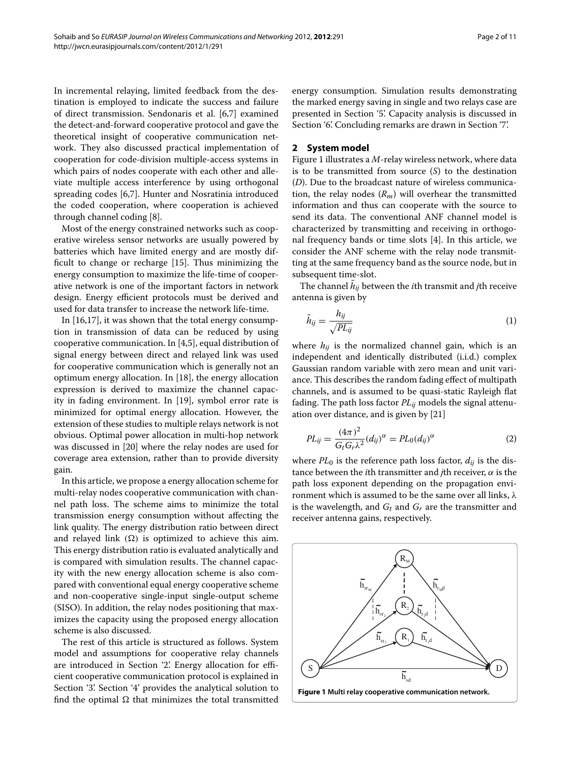In incremental relaying, limited feedback from the destination is employed to indicate the success and failure of direct transmission. Sendonaris et al. [\[6](#page-9-3)[,7\]](#page-9-4) examined the detect-and-forward cooperative protocol and gave the theoretical insight of cooperative communication network. They also discussed practical implementation of cooperation for code-division multiple-access systems in which pairs of nodes cooperate with each other and alleviate multiple access interference by using orthogonal spreading codes [\[6](#page-9-3)[,7\]](#page-9-4). Hunter and Nosratinia introduced the coded cooperation, where cooperation is achieved through channel coding [\[8\]](#page-9-5).

Most of the energy constrained networks such as cooperative wireless sensor networks are usually powered by batteries which have limited energy and are mostly difficult to change or recharge [\[15\]](#page-10-4). Thus minimizing the energy consumption to maximize the life-time of cooperative network is one of the important factors in network design. Energy efficient protocols must be derived and used for data transfer to increase the network life-time.

In [\[16,](#page-10-5)[17\]](#page-10-6), it was shown that the total energy consumption in transmission of data can be reduced by using cooperative communication. In [\[4](#page-9-2)[,5\]](#page-9-6), equal distribution of signal energy between direct and relayed link was used for cooperative communication which is generally not an optimum energy allocation. In [\[18\]](#page-10-7), the energy allocation expression is derived to maximize the channel capacity in fading environment. In [\[19\]](#page-10-8), symbol error rate is minimized for optimal energy allocation. However, the extension of these studies to multiple relays network is not obvious. Optimal power allocation in multi-hop network was discussed in [\[20\]](#page-10-9) where the relay nodes are used for coverage area extension, rather than to provide diversity gain.

In this article, we propose a energy allocation scheme for multi-relay nodes cooperative communication with channel path loss. The scheme aims to minimize the total transmission energy consumption without affecting the link quality. The energy distribution ratio between direct and relayed link  $(\Omega)$  is optimized to achieve this aim. This energy distribution ratio is evaluated analytically and is compared with simulation results. The channel capacity with the new energy allocation scheme is also compared with conventional equal energy cooperative scheme and non-cooperative single-input single-output scheme (SISO). In addition, the relay nodes positioning that maximizes the capacity using the proposed energy allocation scheme is also discussed.

The rest of this article is structured as follows. System model and assumptions for cooperative relay channels are introduced in Section ['2'.](#page-1-0) Energy allocation for efficient cooperative communication protocol is explained in Section ['3'.](#page-2-0) Section ['4'](#page-3-0) provides the analytical solution to find the optimal  $\Omega$  that minimizes the total transmitted

energy consumption. Simulation results demonstrating the marked energy saving in single and two relays case are presented in Section ['5'.](#page-5-0) Capacity analysis is discussed in Section ['6'.](#page-8-0) Concluding remarks are drawn in Section ['7'.](#page-9-7)

#### <span id="page-1-0"></span>**2 System model**

Figure [1](#page-1-1) illustrates a *M*-relay wireless network, where data is to be transmitted from source (*S*) to the destination (*D*). Due to the broadcast nature of wireless communication, the relay nodes (*Rm*) will overhear the transmitted information and thus can cooperate with the source to send its data. The conventional ANF channel model is characterized by transmitting and receiving in orthogonal frequency bands or time slots [\[4\]](#page-9-2). In this article, we consider the ANF scheme with the relay node transmitting at the same frequency band as the source node, but in subsequent time-slot.

The channel  $\tilde{h}_{ij}$  between the *i*th transmit and *j*th receive antenna is given by

$$
\tilde{h}_{ij} = \frac{h_{ij}}{\sqrt{PL_{ij}}}
$$
\n(1)

where  $h_{ij}$  is the normalized channel gain, which is an independent and identically distributed (i.i.d.) complex Gaussian random variable with zero mean and unit variance. This describes the random fading effect of multipath channels, and is assumed to be quasi-static Rayleigh flat fading. The path loss factor *PLij* models the signal attenuation over distance, and is given by [\[21\]](#page-10-10)

$$
PL_{ij} = \frac{(4\pi)^2}{G_t G_r \lambda^2} (d_{ij})^{\alpha} = PL_0 (d_{ij})^{\alpha}
$$
 (2)

where  $PL_0$  is the reference path loss factor,  $d_{ij}$  is the distance between the *i*th transmitter and *j*th receiver, *α* is the path loss exponent depending on the propagation environment which is assumed to be the same over all links, *λ* is the wavelength, and  $G_t$  and  $G_r$  are the transmitter and receiver antenna gains, respectively.

<span id="page-1-1"></span>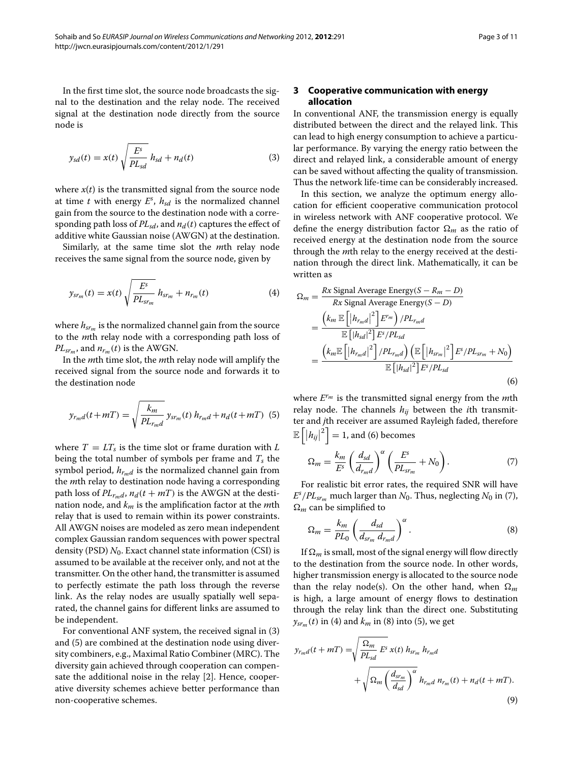In the first time slot, the source node broadcasts the signal to the destination and the relay node. The received signal at the destination node directly from the source node is

<span id="page-2-1"></span>
$$
y_{sd}(t) = x(t) \sqrt{\frac{E^s}{PL_{sd}}} h_{sd} + n_d(t)
$$
 (3)

where  $x(t)$  is the transmitted signal from the source node at time *t* with energy *E<sup>s</sup>* , *hsd* is the normalized channel gain from the source to the destination node with a corresponding path loss of  $PL_{sd}$ , and  $n_d(t)$  captures the effect of additive white Gaussian noise (AWGN) at the destination.

Similarly, at the same time slot the *m*th relay node receives the same signal from the source node, given by

$$
y_{sr_m}(t) = x(t) \sqrt{\frac{E^s}{PL_{sr_m}}} h_{sr_m} + n_{r_m}(t)
$$
 (4)

where  $h_{sr_m}$  is the normalized channel gain from the source to the *m*th relay node with a corresponding path loss of  $PL_{s_{r_m}}$ , and  $n_{r_m}(t)$  is the AWGN.

In the *m*th time slot, the *m*th relay node will amplify the received signal from the source node and forwards it to the destination node

<span id="page-2-2"></span>
$$
y_{r_{m}d}(t+mT) = \sqrt{\frac{k_{m}}{PL_{r_{m}d}}} y_{sr_{m}}(t) h_{r_{m}d} + n_{d}(t+mT)
$$
 (5)

where  $T = LT_s$  is the time slot or frame duration with *L* being the total number of symbols per frame and *Ts* the symbol period,  $h_{rmd}$  is the normalized channel gain from the *m*th relay to destination node having a corresponding path loss of  $PL_{rmd}$ ,  $n_d(t + mT)$  is the AWGN at the destination node, and *km* is the amplification factor at the *m*th relay that is used to remain within its power constraints. All AWGN noises are modeled as zero mean independent complex Gaussian random sequences with power spectral density (PSD) *N*0. Exact channel state information (CSI) is assumed to be available at the receiver only, and not at the transmitter. On the other hand, the transmitter is assumed to perfectly estimate the path loss through the reverse link. As the relay nodes are usually spatially well separated, the channel gains for different links are assumed to be independent.

For conventional ANF system, the received signal in [\(3\)](#page-2-1) and [\(5\)](#page-2-2) are combined at the destination node using diversity combiners, e.g., Maximal Ratio Combiner (MRC). The diversity gain achieved through cooperation can compensate the additional noise in the relay [2]. Hence, cooperative diversity schemes achieve better performance than non-cooperative schemes.

### <span id="page-2-0"></span>**3 Cooperative communication with energy allocation**

In conventional ANF, the transmission energy is equally distributed between the direct and the relayed link. This can lead to high energy consumption to achieve a particular performance. By varying the energy ratio between the direct and relayed link, a considerable amount of energy can be saved without affecting the quality of transmission. Thus the network life-time can be considerably increased.

In this section, we analyze the optimum energy allocation for efficient cooperative communication protocol in wireless network with ANF cooperative protocol. We define the energy distribution factor  $\Omega_m$  as the ratio of received energy at the destination node from the source through the *m*th relay to the energy received at the destination through the direct link. Mathematically, it can be written as

<span id="page-2-5"></span><span id="page-2-3"></span>
$$
\Omega_m = \frac{Rx \text{ Signal Average Energy}(S - R_m - D)}{Rx \text{ Signal Average Energy}(S - D)}
$$
  
= 
$$
\frac{\left(k_m \mathbb{E}\left[\left|h_{r_m d}\right|^2\right] E^{r_m}\right) / PL_{r_m d}}{\mathbb{E}\left[\left|h_{sd}\right|^2\right] E^{s} / PL_{sd}}
$$
  
= 
$$
\frac{\left(k_m \mathbb{E}\left[\left|h_{r_m d}\right|^2\right] / PL_{r_m d}\right) \left(\mathbb{E}\left[\left|h_{s r_m}\right|^2\right] E^{s} / PL_{s r_m} + N_0\right)}{\mathbb{E}\left[\left|h_{sd}\right|^2\right] E^{s} / PL_{sd}}
$$
(6)

where *Erm* is the transmitted signal energy from the *m*th relay node. The channels *hij* between the *i*th transmitter and *j*th receiver are assumed Rayleigh faded, therefore  $\mathbb{E}\left[ \left\vert h_{ij}\right\vert \right.$  $\binom{2}{1}$  = 1, and [\(6\)](#page-2-3) becomes

<span id="page-2-4"></span>
$$
\Omega_m = \frac{k_m}{E^s} \left( \frac{d_{sd}}{d_{r_m d}} \right)^{\alpha} \left( \frac{E^s}{PL_{sr_m}} + N_0 \right). \tag{7}
$$

For realistic bit error rates, the required SNR will have  $E^s/PL_{sr_m}$  much larger than  $N_0$ . Thus, neglecting  $N_0$  in [\(7\)](#page-2-4),  $\Omega_m$  can be simplified to

<span id="page-2-6"></span>
$$
\Omega_m = \frac{k_m}{PL_0} \left( \frac{d_{sd}}{d_{sr_m} d_{r_m d}} \right)^{\alpha} . \tag{8}
$$

If  $\Omega_m$  is small, most of the signal energy will flow directly to the destination from the source node. In other words, higher transmission energy is allocated to the source node than the relay node(s). On the other hand, when  $\Omega_m$ is high, a large amount of energy flows to destination through the relay link than the direct one. Substituting  $y_{s r_m}(t)$  in [\(4\)](#page-2-5) and  $k_m$  in [\(8\)](#page-2-6) into [\(5\)](#page-2-2), we get

$$
y_{r_m d}(t + mT) = \sqrt{\frac{\Omega_m}{PL_{sd}} E^s} x(t) h_{sr_m} h_{r_m d}
$$

$$
+ \sqrt{\Omega_m \left(\frac{d_{sr_m}}{d_{sd}}\right)^{\alpha}} h_{r_m d} n_{r_m}(t) + n_d (t + mT). \tag{9}
$$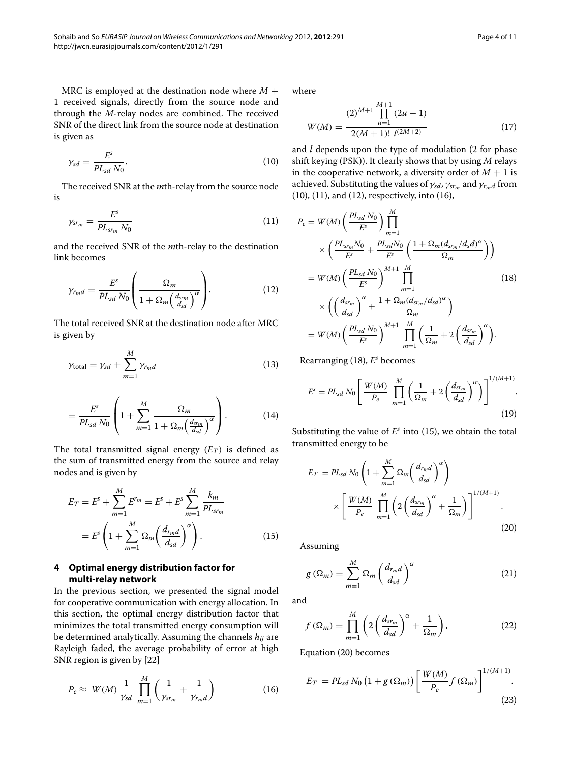MRC is employed at the destination node where *M* + 1 received signals, directly from the source node and through the *M*-relay nodes are combined. The received SNR of the direct link from the source node at destination is given as

<span id="page-3-1"></span>
$$
\gamma_{sd} = \frac{E^s}{PL_{sd} N_0}.\tag{10}
$$

<span id="page-3-2"></span>The received SNR at the *m*th-relay from the source node is

$$
\gamma_{sr_m} = \frac{E^s}{PL_{sr_m} N_0} \tag{11}
$$

and the received SNR of the *m*th-relay to the destination link becomes

<span id="page-3-3"></span>
$$
\gamma_{r_{m}d} = \frac{E^{s}}{PL_{sd} N_{0}} \left( \frac{\Omega_{m}}{1 + \Omega_{m} \left( \frac{d_{s_{rm}}}{d_{sd}} \right)^{\alpha}} \right).
$$
(12)

The total received SNR at the destination node after MRC is given by

<span id="page-3-9"></span>
$$
\gamma_{\text{total}} = \gamma_{sd} + \sum_{m=1}^{M} \gamma_{r_m d} \tag{13}
$$

$$
=\frac{E^s}{PL_{sd}N_0}\left(1+\sum_{m=1}^M\frac{\Omega_m}{1+\Omega_m\left(\frac{d_{sm}}{d_{sd}}\right)^\alpha}\right). \tag{14}
$$

The total transmitted signal energy  $(E_T)$  is defined as the sum of transmitted energy from the source and relay nodes and is given by

$$
E_T = E^s + \sum_{m=1}^{M} E^{r_m} = E^s + E^s \sum_{m=1}^{M} \frac{k_m}{PL_{sr_m}}
$$
  
= 
$$
E^s \left( 1 + \sum_{m=1}^{M} \Omega_m \left( \frac{d_{r_m d}}{d_{sd}} \right)^{\alpha} \right).
$$
 (15)

## <span id="page-3-0"></span>**4 Optimal energy distribution factor for multi-relay network**

In the previous section, we presented the signal model for cooperative communication with energy allocation. In this section, the optimal energy distribution factor that minimizes the total transmitted energy consumption will be determined analytically. Assuming the channels *hij* are Rayleigh faded, the average probability of error at high SNR region is given by [\[22\]](#page-10-11)

<span id="page-3-4"></span>
$$
P_e \approx W(M) \frac{1}{\gamma_{sd}} \prod_{m=1}^{M} \left( \frac{1}{\gamma_{sr_m}} + \frac{1}{\gamma_{r_m d}} \right)
$$
 (16)

where

$$
W(M) = \frac{(2)^{M+1} \prod_{u=1}^{M+1} (2u - 1)}{2(M+1)! \ l^{(2M+2)}}
$$
(17)

and *l* depends upon the type of modulation (2 for phase shift keying (PSK)). It clearly shows that by using *M* relays in the cooperative network, a diversity order of  $M + 1$  is achieved. Substituting the values of  $\gamma_{sd}$ ,  $\gamma_{srm}$  and  $\gamma_{rmd}$  from [\(10\)](#page-3-1), [\(11\)](#page-3-2), and [\(12\)](#page-3-3), respectively, into [\(16\)](#page-3-4),

<span id="page-3-5"></span>
$$
P_e = W(M) \left( \frac{PL_{sd} N_0}{E^s} \right) \prod_{m=1}^M
$$
  
\n
$$
\times \left( \frac{PL_{sr_m} N_0}{E^s} + \frac{PL_{sd} N_0}{E^s} \left( \frac{1 + \Omega_m (d_{sr_m}/d_s d)^\alpha}{\Omega_m} \right) \right)
$$
  
\n
$$
= W(M) \left( \frac{PL_{sd} N_0}{E^s} \right)^{M+1} \prod_{m=1}^M
$$
  
\n
$$
\times \left( \left( \frac{d_{sr_m}}{d_{sd}} \right)^\alpha + \frac{1 + \Omega_m (d_{sr_m}/d_{sd})^\alpha}{\Omega_m} \right)
$$
  
\n
$$
= W(M) \left( \frac{PL_{sd} N_0}{E^s} \right)^{M+1} \prod_{m=1}^M \left( \frac{1}{\Omega_m} + 2 \left( \frac{d_{sr_m}}{d_{sd}} \right)^\alpha \right).
$$
  
\n(18)

Rearranging [\(18\)](#page-3-5), *E<sup>s</sup>* becomes

$$
E^{s} = PL_{sd} N_{0} \left[ \frac{W(M)}{P_{e}} \prod_{m=1}^{M} \left( \frac{1}{\Omega_{m}} + 2 \left( \frac{d_{sr_{m}}}{d_{sd}} \right)^{\alpha} \right) \right]^{1/(M+1)}.
$$
\n(19)

Substituting the value of  $E^s$  into [\(15\)](#page-3-6), we obtain the total transmitted energy to be

<span id="page-3-7"></span>
$$
E_T = PL_{sd} N_0 \left( 1 + \sum_{m=1}^{M} \Omega_m \left( \frac{d_{r_m d}}{d_{sd}} \right)^{\alpha} \right)
$$

$$
\times \left[ \frac{W(M)}{P_e} \prod_{m=1}^{M} \left( 2 \left( \frac{d_{sr_m}}{d_{sd}} \right)^{\alpha} + \frac{1}{\Omega_m} \right) \right]^{1/(M+1)}.
$$
(20)

<span id="page-3-6"></span>Assuming

$$
g\left(\Omega_m\right) = \sum_{m=1}^{M} \Omega_m \left(\frac{d_{r_m d}}{d_{sd}}\right)^{\alpha} \tag{21}
$$

and

$$
f\left(\Omega_m\right) = \prod_{m=1}^{M} \left(2\left(\frac{d_{sr_m}}{d_{sd}}\right)^{\alpha} + \frac{1}{\Omega_m}\right),\tag{22}
$$

Equation [\(20\)](#page-3-7) becomes

<span id="page-3-8"></span>
$$
E_T = PL_{sd} N_0 \left( 1 + g \left( \Omega_m \right) \right) \left[ \frac{W(M)}{P_e} f \left( \Omega_m \right) \right]^{1/(M+1)}.
$$
\n(23)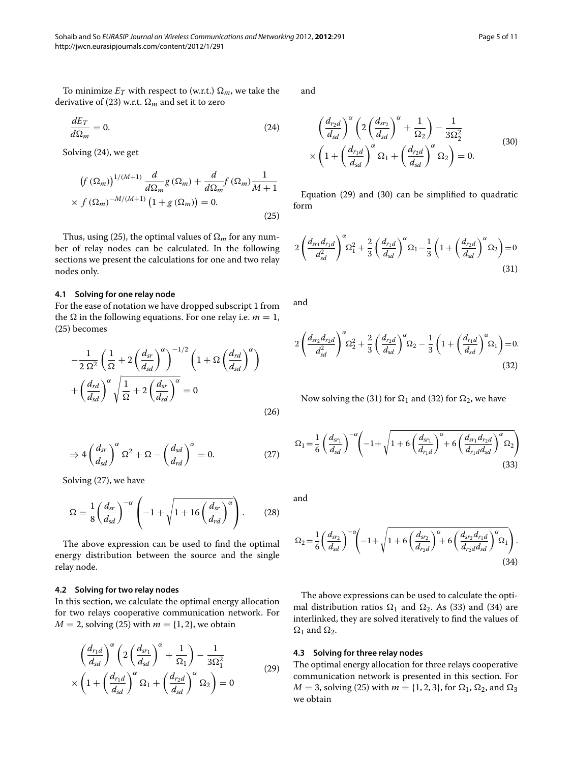$$
\frac{dE_T}{d\Omega_m} = 0.\t\t(24)
$$

Solving [\(24\)](#page-4-0), we get

<span id="page-4-1"></span>
$$
\left(f\left(\Omega_m\right)\right)^{1/(M+1)}\frac{d}{d\Omega_m}g\left(\Omega_m\right) + \frac{d}{d\Omega_m}f\left(\Omega_m\right)\frac{1}{M+1}
$$
  
 
$$
\times f\left(\Omega_m\right)^{-M/(M+1)}\left(1 + g\left(\Omega_m\right)\right) = 0.
$$
 (25)

Thus, using [\(25\)](#page-4-1), the optimal values of  $\Omega_m$  for any number of relay nodes can be calculated. In the following sections we present the calculations for one and two relay nodes only.

#### **4.1 Solving for one relay node**

For the ease of notation we have dropped subscript 1 from the  $\Omega$  in the following equations. For one relay i.e.  $m = 1$ , [\(25\)](#page-4-1) becomes

$$
-\frac{1}{2\,\Omega^2} \left(\frac{1}{\Omega} + 2\left(\frac{d_{sr}}{d_{sd}}\right)^{\alpha}\right)^{-1/2} \left(1 + \Omega\left(\frac{d_{rd}}{d_{sd}}\right)^{\alpha}\right) + \left(\frac{d_{rd}}{d_{sd}}\right)^{\alpha} \sqrt{\frac{1}{\Omega} + 2\left(\frac{d_{sr}}{d_{sd}}\right)^{\alpha}} = 0
$$
\n(26)

<span id="page-4-2"></span>
$$
\Rightarrow 4\left(\frac{d_{sr}}{d_{sd}}\right)^{\alpha} \Omega^2 + \Omega - \left(\frac{d_{sd}}{d_{rd}}\right)^{\alpha} = 0. \tag{27}
$$

Solving [\(27\)](#page-4-2), we have

<span id="page-4-9"></span>
$$
\Omega = \frac{1}{8} \left( \frac{d_{sr}}{d_{sd}} \right)^{-\alpha} \left( -1 + \sqrt{1 + 16 \left( \frac{d_{sr}}{d_{rd}} \right)^{\alpha}} \right). \tag{28}
$$

The above expression can be used to find the optimal energy distribution between the source and the single relay node.

#### **4.2 Solving for two relay nodes**

In this section, we calculate the optimal energy allocation for two relays cooperative communication network. For  $M = 2$ , solving [\(25\)](#page-4-1) with  $m = \{1, 2\}$ , we obtain

$$
\left(\frac{d_{r_1d}}{d_{sd}}\right)^{\alpha} \left(2\left(\frac{d_{sr_1}}{d_{sd}}\right)^{\alpha} + \frac{1}{\Omega_1}\right) - \frac{1}{3\Omega_1^2}
$$
\n
$$
\times \left(1 + \left(\frac{d_{r_1d}}{d_{sd}}\right)^{\alpha} \Omega_1 + \left(\frac{d_{r_2d}}{d_{sd}}\right)^{\alpha} \Omega_2\right) = 0
$$
\n(29)

<span id="page-4-4"></span><span id="page-4-0"></span>and

$$
\left(\frac{d_{r_2d}}{d_{sd}}\right)^{\alpha} \left(2\left(\frac{d_{sr_2}}{d_{sd}}\right)^{\alpha} + \frac{1}{\Omega_2}\right) - \frac{1}{3\Omega_2^2}
$$
\n
$$
\times \left(1 + \left(\frac{d_{r_1d}}{d_{sd}}\right)^{\alpha} \Omega_1 + \left(\frac{d_{r_2d}}{d_{sd}}\right)^{\alpha} \Omega_2\right) = 0.
$$
\n(30)

<span id="page-4-5"></span>Equation [\(29\)](#page-4-3) and [\(30\)](#page-4-4) can be simplified to quadratic form

$$
2\left(\frac{d_{sr_1}d_{rd}}{d_{sd}^2}\right)^{\alpha}\Omega_1^2 + \frac{2}{3}\left(\frac{d_{rd}}{d_{sd}}\right)^{\alpha}\Omega_1 - \frac{1}{3}\left(1 + \left(\frac{d_{rd}}{d_{sd}}\right)^{\alpha}\Omega_2\right) = 0
$$
\n(31)

<span id="page-4-6"></span>and

$$
2\left(\frac{d_{sr_2}d_{r_2d}}{d_{sd}^2}\right)^{\alpha}\Omega_2^2 + \frac{2}{3}\left(\frac{d_{r_2d}}{d_{sd}}\right)^{\alpha}\Omega_2 - \frac{1}{3}\left(1 + \left(\frac{d_{r_1d}}{d_{sd}}\right)^{\alpha}\Omega_1\right) = 0.
$$
\n(32)

<span id="page-4-7"></span>Now solving the [\(31\)](#page-4-5) for  $\Omega_1$  and [\(32\)](#page-4-6) for  $\Omega_2$ , we have

$$
\Omega_{1} = \frac{1}{6} \left( \frac{d_{sr_{1}}}{d_{sd}} \right)^{-\alpha} \left( -1 + \sqrt{1 + 6 \left( \frac{d_{sr_{1}}}{d_{r_{1}d}} \right)^{\alpha} + 6 \left( \frac{d_{sr_{1}}d_{r_{2}d}}{d_{r_{1}d}d_{sd}} \right)^{\alpha} \Omega_{2}} \right)
$$
\n(33)

<span id="page-4-8"></span>and

$$
\Omega_2 = \frac{1}{6} \left( \frac{d_{sr_2}}{d_{sd}} \right)^{-\alpha} \left( -1 + \sqrt{1 + 6 \left( \frac{d_{sr_2}}{d_{r_2d}} \right)^{\alpha} + 6 \left( \frac{d_{sr_2} d_{r_1d}}{d_{r_2d} d_{sd}} \right)^{\alpha} \Omega_1} \right). \tag{34}
$$

The above expressions can be used to calculate the optimal distribution ratios  $\Omega_1$  and  $\Omega_2$ . As [\(33\)](#page-4-7) and [\(34\)](#page-4-8) are interlinked, they are solved iteratively to find the values of  $\Omega_1$  and  $\Omega_2$ .

#### <span id="page-4-3"></span>**4.3 Solving for three relay nodes**

The optimal energy allocation for three relays cooperative communication network is presented in this section. For  $M = 3$ , solving [\(25\)](#page-4-1) with  $m = \{1, 2, 3\}$ , for  $\Omega_1$ ,  $\Omega_2$ , and  $\Omega_3$ we obtain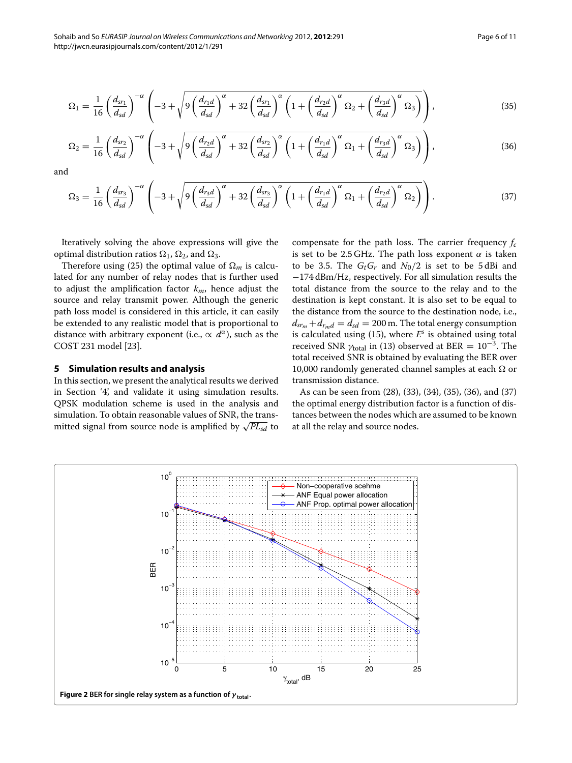<span id="page-5-1"></span>
$$
\Omega_1 = \frac{1}{16} \left( \frac{d_{sr_1}}{d_{sd}} \right)^{-\alpha} \left( -3 + \sqrt{9 \left( \frac{d_{r_1d}}{d_{sd}} \right)^{\alpha} + 32 \left( \frac{d_{sr_1}}{d_{sd}} \right)^{\alpha} \left( 1 + \left( \frac{d_{r_2d}}{d_{sd}} \right)^{\alpha} \Omega_2 + \left( \frac{d_{r_3d}}{d_{sd}} \right)^{\alpha} \Omega_3 \right) } \right),\tag{35}
$$

<span id="page-5-2"></span>
$$
\Omega_2 = \frac{1}{16} \left( \frac{d_{sr_2}}{d_{sd}} \right)^{-\alpha} \left( -3 + \sqrt{9 \left( \frac{d_{r_2d}}{d_{sd}} \right)^{\alpha} + 32 \left( \frac{d_{sr_2}}{d_{sd}} \right)^{\alpha} \left( 1 + \left( \frac{d_{r_1d}}{d_{sd}} \right)^{\alpha} \Omega_1 + \left( \frac{d_{r_3d}}{d_{sd}} \right)^{\alpha} \Omega_3 \right) } \right),\tag{36}
$$

and

<span id="page-5-3"></span>
$$
\Omega_3 = \frac{1}{16} \left( \frac{d_{sr_3}}{d_{sd}} \right)^{-\alpha} \left( -3 + \sqrt{9 \left( \frac{d_{r_3d}}{d_{sd}} \right)^{\alpha} + 32 \left( \frac{d_{sr_3}}{d_{sd}} \right)^{\alpha} \left( 1 + \left( \frac{d_{r_1d}}{d_{sd}} \right)^{\alpha} \Omega_1 + \left( \frac{d_{r_2d}}{d_{sd}} \right)^{\alpha} \Omega_2 \right) \right). \tag{37}
$$

Iteratively solving the above expressions will give the optimal distribution ratios  $\Omega_1$ ,  $\Omega_2$ , and  $\Omega_3$ .

Therefore using [\(25\)](#page-4-1) the optimal value of  $\Omega_m$  is calculated for any number of relay nodes that is further used to adjust the amplification factor *km*, hence adjust the source and relay transmit power. Although the generic path loss model is considered in this article, it can easily be extended to any realistic model that is proportional to distance with arbitrary exponent (i.e.,  $\propto d^{\alpha}$ ), such as the COST 231 model [\[23\]](#page-10-12).

#### <span id="page-5-0"></span>**5 Simulation results and analysis**

In this section, we present the analytical results we derived in Section ['4',](#page-3-0) and validate it using simulation results. QPSK modulation scheme is used in the analysis and simulation. To obtain reasonable values of SNR, the transmitted signal from source node is amplified by  $\sqrt{PL_{sd}}$  to compensate for the path loss. The carrier frequency *fc* is set to be 2.5 GHz. The path loss exponent  $\alpha$  is taken to be 3.5. The  $G_tG_r$  and  $N_0/2$  is set to be 5 dBi and −174 dBm/Hz, respectively. For all simulation results the total distance from the source to the relay and to the destination is kept constant. It is also set to be equal to the distance from the source to the destination node, i.e.,  $d_{sr_m} + d_{r_m} = d_{sd} = 200$  m. The total energy consumption is calculated using [\(15\)](#page-3-6), where *E<sup>s</sup>* is obtained using total received SNR *<sup>γ</sup>*total in [\(13\)](#page-3-9) observed at BER <sup>=</sup> <sup>10</sup>−3. The total received SNR is obtained by evaluating the BER over 10,000 randomly generated channel samples at each Ω or transmission distance.

As can be seen from [\(28\)](#page-4-9), [\(33\)](#page-4-7), [\(34\)](#page-4-8), [\(35\)](#page-5-1), [\(36\)](#page-5-2), and [\(37\)](#page-5-3) the optimal energy distribution factor is a function of distances between the nodes which are assumed to be known at all the relay and source nodes.

<span id="page-5-4"></span>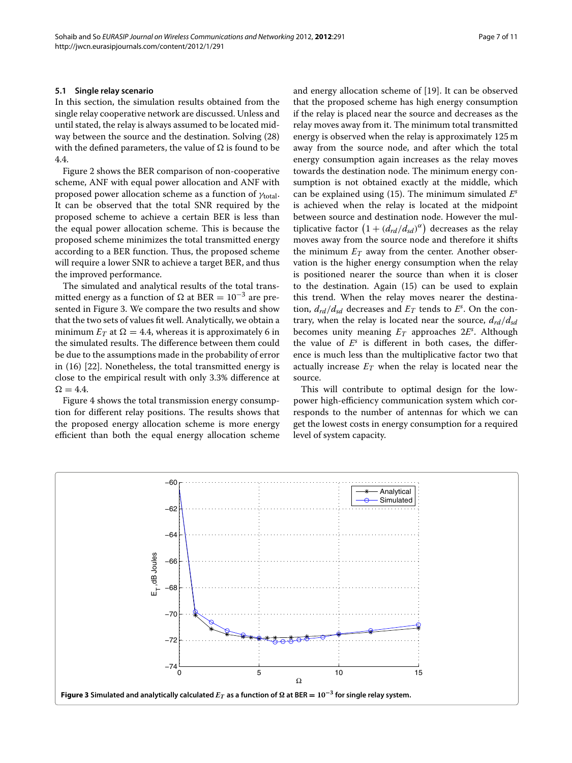#### **5.1 Single relay scenario**

In this section, the simulation results obtained from the single relay cooperative network are discussed. Unless and until stated, the relay is always assumed to be located midway between the source and the destination. Solving [\(28\)](#page-4-9) with the defined parameters, the value of  $\Omega$  is found to be 4.4.

Figure [2](#page-5-4) shows the BER comparison of non-cooperative scheme, ANF with equal power allocation and ANF with proposed power allocation scheme as a function of *γ*total. It can be observed that the total SNR required by the proposed scheme to achieve a certain BER is less than the equal power allocation scheme. This is because the proposed scheme minimizes the total transmitted energy according to a BER function. Thus, the proposed scheme will require a lower SNR to achieve a target BER, and thus the improved performance.

The simulated and analytical results of the total transmitted energy as a function of  $\Omega$  at BER =  $10^{-3}$  are presented in Figure [3.](#page-6-0) We compare the two results and show that the two sets of values fit well. Analytically, we obtain a minimum  $E_T$  at  $\Omega = 4.4$ , whereas it is approximately 6 in the simulated results. The difference between them could be due to the assumptions made in the probability of error in [\(16\)](#page-3-4) [\[22\]](#page-10-11). Nonetheless, the total transmitted energy is close to the empirical result with only 3.3% difference at  $\Omega = 4.4.$ 

Figure [4](#page-7-0) shows the total transmission energy consumption for different relay positions. The results shows that the proposed energy allocation scheme is more energy efficient than both the equal energy allocation scheme and energy allocation scheme of [\[19\]](#page-10-8). It can be observed that the proposed scheme has high energy consumption if the relay is placed near the source and decreases as the relay moves away from it. The minimum total transmitted energy is observed when the relay is approximately 125 m away from the source node, and after which the total energy consumption again increases as the relay moves towards the destination node. The minimum energy consumption is not obtained exactly at the middle, which can be explained using [\(15\)](#page-3-6). The minimum simulated *E<sup>s</sup>* is achieved when the relay is located at the midpoint between source and destination node. However the multiplicative factor  $(1 + (d_{rd}/d_{sd})^{\alpha})$  decreases as the relay moves away from the source node and therefore it shifts the minimum  $E_T$  away from the center. Another observation is the higher energy consumption when the relay is positioned nearer the source than when it is closer to the destination. Again [\(15\)](#page-3-6) can be used to explain this trend. When the relay moves nearer the destination,  $d_{rd}/d_{sd}$  decreases and  $E_T$  tends to  $E^s$ . On the contrary, when the relay is located near the source,  $d_{rd}/d_{sd}$ becomes unity meaning *ET* approaches 2*E<sup>s</sup>* . Although the value of  $E^s$  is different in both cases, the difference is much less than the multiplicative factor two that actually increase  $E_T$  when the relay is located near the source.

This will contribute to optimal design for the lowpower high-efficiency communication system which corresponds to the number of antennas for which we can get the lowest costs in energy consumption for a required level of system capacity.

<span id="page-6-0"></span>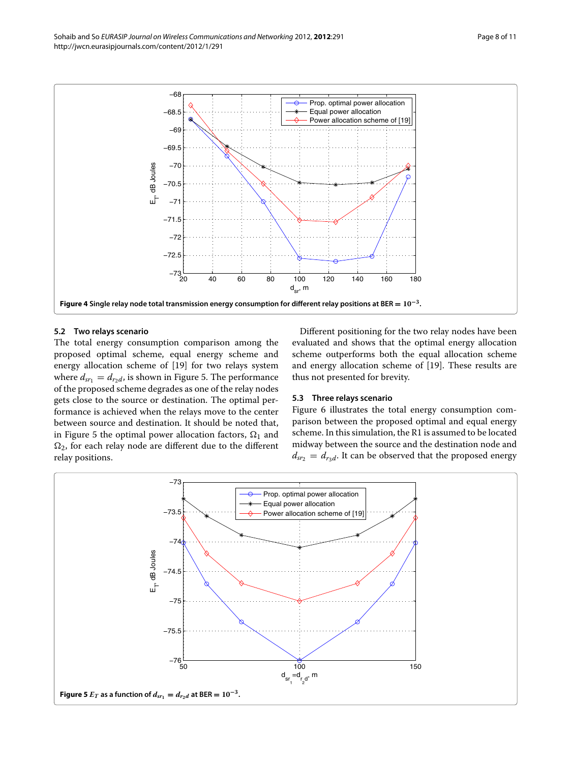

### <span id="page-7-0"></span>**5.2 Two relays scenario**

The total energy consumption comparison among the proposed optimal scheme, equal energy scheme and energy allocation scheme of [\[19\]](#page-10-8) for two relays system where  $d_{sr_1} = d_{r_2d}$ , is shown in Figure [5.](#page-7-1) The performance of the proposed scheme degrades as one of the relay nodes gets close to the source or destination. The optimal performance is achieved when the relays move to the center between source and destination. It should be noted that, in Figure [5](#page-7-1) the optimal power allocation factors,  $\Omega_1$  and  $\Omega_2$ , for each relay node are different due to the different relay positions.

Different positioning for the two relay nodes have been evaluated and shows that the optimal energy allocation scheme outperforms both the equal allocation scheme and energy allocation scheme of [\[19\]](#page-10-8). These results are thus not presented for brevity.

#### **5.3 Three relays scenario**

Figure [6](#page-8-1) illustrates the total energy consumption comparison between the proposed optimal and equal energy scheme. In this simulation, the R1 is assumed to be located midway between the source and the destination node and  $d_{sr_2} = d_{r_3d}$ . It can be observed that the proposed energy

<span id="page-7-1"></span>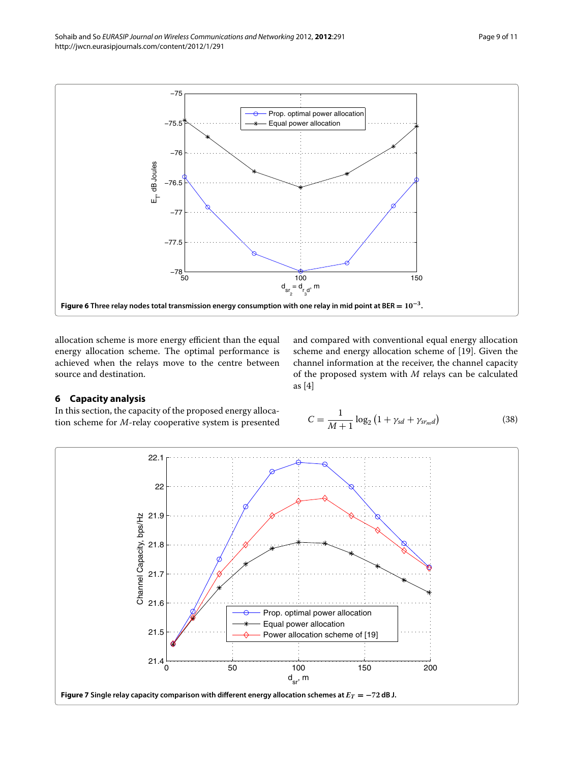

<span id="page-8-1"></span>allocation scheme is more energy efficient than the equal energy allocation scheme. The optimal performance is achieved when the relays move to the centre between source and destination.

<span id="page-8-0"></span>**6 Capacity analysis**

In this section, the capacity of the proposed energy allocation scheme for *M*-relay cooperative system is presented

and compared with conventional equal energy allocation scheme and energy allocation scheme of [19]. Given the channel information at the receiver, the channel capacity of the proposed system with 
$$
M
$$
 relays can be calculated as [4]

$$
C = \frac{1}{M+1} \log_2 (1 + \gamma_{sd} + \gamma_{srmd})
$$
 (38)

<span id="page-8-2"></span>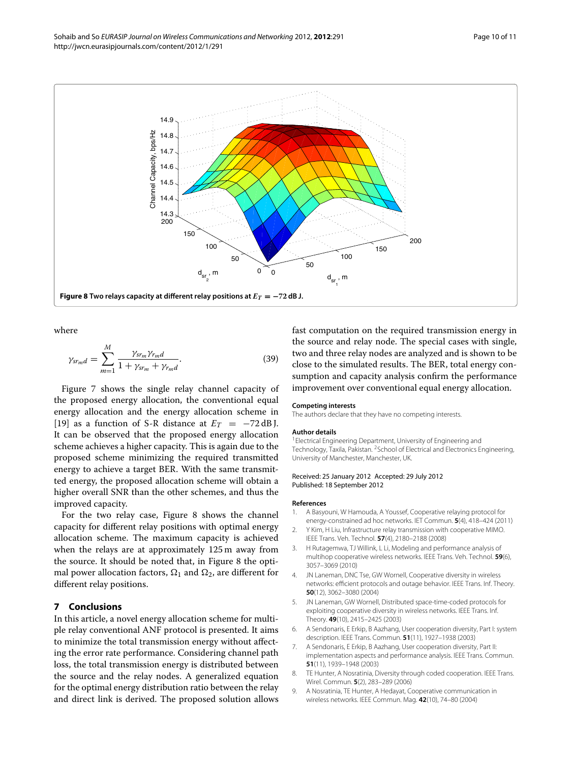

<span id="page-9-8"></span>where

$$
\gamma_{srmd} = \sum_{m=1}^{M} \frac{\gamma_{sr_m} \gamma_{r_m d}}{1 + \gamma_{sr_m} + \gamma_{r_m d}}.
$$
\n(39)

Figure [7](#page-8-2) shows the single relay channel capacity of the proposed energy allocation, the conventional equal energy allocation and the energy allocation scheme in [\[19\]](#page-10-8) as a function of S-R distance at  $E_T = -72$  dB J. It can be observed that the proposed energy allocation scheme achieves a higher capacity. This is again due to the proposed scheme minimizing the required transmitted energy to achieve a target BER. With the same transmitted energy, the proposed allocation scheme will obtain a higher overall SNR than the other schemes, and thus the improved capacity.

For the two relay case, Figure [8](#page-9-8) shows the channel capacity for different relay positions with optimal energy allocation scheme. The maximum capacity is achieved when the relays are at approximately 125 m away from the source. It should be noted that, in Figure [8](#page-9-8) the optimal power allocation factors,  $\Omega_1$  and  $\Omega_2$ , are different for different relay positions.

#### <span id="page-9-7"></span>**7 Conclusions**

In this article, a novel energy allocation scheme for multiple relay conventional ANF protocol is presented. It aims to minimize the total transmission energy without affecting the error rate performance. Considering channel path loss, the total transmission energy is distributed between the source and the relay nodes. A generalized equation for the optimal energy distribution ratio between the relay and direct link is derived. The proposed solution allows

fast computation on the required transmission energy in the source and relay node. The special cases with single, two and three relay nodes are analyzed and is shown to be close to the simulated results. The BER, total energy consumption and capacity analysis confirm the performance improvement over conventional equal energy allocation.

#### **Competing interests**

The authors declare that they have no competing interests.

#### **Author details**

<sup>1</sup> Electrical Engineering Department, University of Engineering and Technology, Taxila, Pakistan. 2School of Electrical and Electronics Engineering, University of Manchester, Manchester, UK.

#### Received: 25 January 2012 Accepted: 29 July 2012 Published: 18 September 2012

#### **References**

- <span id="page-9-0"></span>1. A Basyouni, W Hamouda, A Youssef, Cooperative relaying protocol for energy-constrained ad hoc networks. IET Commun. **5**(4), 418–424 (2011)
- 2. Y Kim, H Liu, Infrastructure relay transmission with cooperative MIMO. IEEE Trans. Veh. Technol. **57**(4), 2180–2188 (2008)
- <span id="page-9-1"></span>3. H Rutagemwa, TJ Willink, L Li, Modeling and performance analysis of multihop cooperative wireless networks. IEEE Trans. Veh. Technol. **59**(6), 3057–3069 (2010)
- <span id="page-9-2"></span>4. JN Laneman, DNC Tse, GW Wornell, Cooperative diversity in wireless networks: efficient protocols and outage behavior. IEEE Trans. Inf. Theory. **50**(12), 3062–3080 (2004)
- <span id="page-9-6"></span>5. JN Laneman, GW Wornell, Distributed space-time-coded protocols for exploiting cooperative diversity in wireless networks. IEEE Trans. Inf. Theory. **49**(10), 2415–2425 (2003)
- <span id="page-9-3"></span>6. A Sendonaris, E Erkip, B Aazhang, User cooperation diversity, Part I: system description. IEEE Trans. Commun. **51**(11), 1927–1938 (2003)
- <span id="page-9-4"></span>7. A Sendonaris, E Erkip, B Aazhang, User cooperation diversity, Part II: implementation aspects and performance analysis. IEEE Trans. Commun. **51**(11), 1939–1948 (2003)
- <span id="page-9-5"></span>8. TE Hunter, A Nosratinia, Diversity through coded cooperation. IEEE Trans. Wirel. Commun. **5**(2), 283–289 (2006)
- 9. A Nosratinia, TE Hunter, A Hedayat, Cooperative communication in wireless networks. IEEE Commun. Mag. **42**(10), 74–80 (2004)